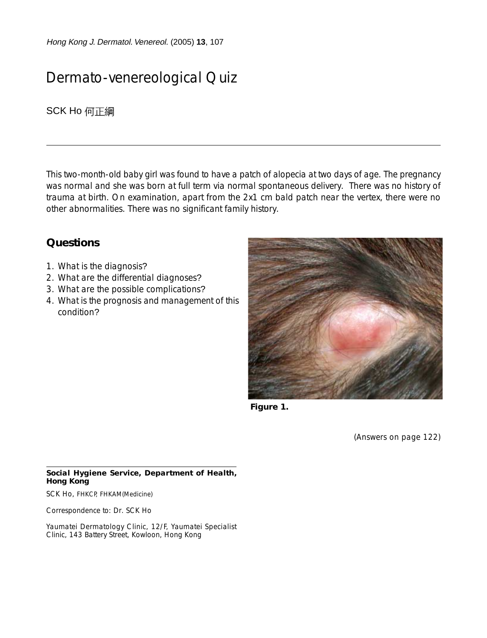Hong Kong J. Dermatol. Venereol. (2005) **13**, 107

## Dermato-venereological Quiz

**SCK Ho** 何正綱

This two-month-old baby girl was found to have a patch of alopecia at two days of age. The pregnancy was normal and she was born at full term via normal spontaneous delivery. There was no history of trauma at birth. On examination, apart from the 2x1 cm bald patch near the vertex, there were no other abnormalities. There was no significant family history.

## **Questions**

- 1. What is the diagnosis?
- 2. What are the differential diagnoses?
- 3. What are the possible complications?
- 4. What is the prognosis and management of this condition?



**Figure 1.**

(Answers on page 122)

## **Social Hygiene Service, Department of Health, Hong Kong**

SCK Ho, FHKCP, FHKAM(Medicine)

Correspondence to: Dr. SCK Ho

Yaumatei Dermatology Clinic, 12/F, Yaumatei Specialist Clinic, 143 Battery Street, Kowloon, Hong Kong